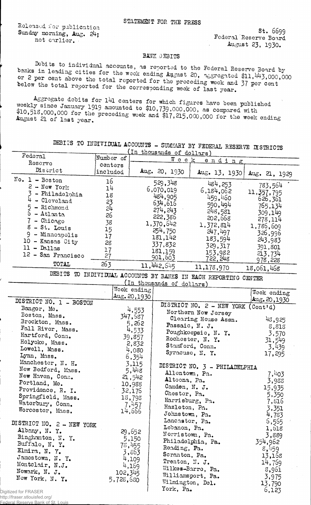Released *for* publication Sunday morning, Aug. 24; not earlier.

st. 6699 Federal'Reserve Board August 23, 1930.

BANK DEBITS<br>Debits to individual accounts, as reported to the Federal Reserve Board by banks in leading cities for the week ending August 20, as gregated \$11,  $443,000,000$ or 2 per cent above the total reported for the preceding week and 37 per cent below the total reported for the corresponding week of last year.

weekly since fanished for the CGnters for which figures have been published '  $$10,518,000,000$  for the preceding work and  $$17,79,000,000$ , as compared with  $$10,518,000,000$  for the preceding week and  $$17,215,000,000$  for the week ending August 21 of 1ast year.

| DEBITS TO INDIVIDUAL ACCOUNTS - SUMMARY BY FEDERAL RESERVE DISTRICTS          |                     |              |                           |                                      |                        |  |  |  |
|-------------------------------------------------------------------------------|---------------------|--------------|---------------------------|--------------------------------------|------------------------|--|--|--|
| Federal                                                                       |                     |              | (In thousands of dollars) |                                      |                        |  |  |  |
| Reserve                                                                       | Number of           |              | $W$ e e k<br>ending       |                                      |                        |  |  |  |
| Discrict                                                                      | centers<br>included |              | Aug. 20, 1930             | Aug. 13, 1930                        | Aug. 21, 1929          |  |  |  |
| No. $1 - Boston$                                                              | 16                  |              | 529,348                   | 484,253                              |                        |  |  |  |
| $2$ - New York                                                                | 14                  |              | 6,070,019                 | 6,184,062                            | 783,564                |  |  |  |
| 3<br>- Philadelphia                                                           | 18                  |              | 484,905                   | 459,460                              | 11, 357, 795           |  |  |  |
| - Cleveland                                                                   | 23                  |              | 634,616                   | 590,494                              | 626,361                |  |  |  |
| $-$ Richmond                                                                  | 54                  |              | 274, 243                  |                                      | 765,134                |  |  |  |
| 6<br>$-$ Atlanta                                                              | 26                  |              | 222,386                   | 248,581                              | 309,149                |  |  |  |
| - Chicago                                                                     | 38                  |              | 1,370,642                 | 202,668                              | 278,114                |  |  |  |
| - St. Louis                                                                   | 15                  |              | 254,750                   | 1,372,814                            | 1,786,609              |  |  |  |
| 9<br>- Minneapolis                                                            | 17                  |              | 181,142                   | 247,497                              | 326,996                |  |  |  |
| $10$ - Kansas City                                                            | 28                  |              | 337,832                   | 183,594                              | 243,983                |  |  |  |
| $11 -$ Dallas                                                                 | 17                  |              | 181,159                   | 329,317                              | 391,801                |  |  |  |
| 12 - San Francisco                                                            | 27                  |              | 901,603                   | 153,982                              | 213,734                |  |  |  |
| TOTAL                                                                         | 263                 |              | 11, 442, 545              | 722, 248<br>11,178,970               | 978,228                |  |  |  |
| 18,061,468<br>DEBITS TO INDIVIDUAL ACCOUNTS BY BANKS IN EACH REPORTING CENTER |                     |              |                           |                                      |                        |  |  |  |
| (In thousands of dollars)                                                     |                     |              |                           |                                      |                        |  |  |  |
|                                                                               |                     | Week ending  |                           |                                      |                        |  |  |  |
|                                                                               |                     | Aug. 20,1930 |                           |                                      | Week ending            |  |  |  |
| DISTRICT NO. 1 - BOSTON                                                       |                     |              |                           | DISTRICT NO. $2 - NEW$ YORK (Cont'd) | $\textsf{Au}\&20,1930$ |  |  |  |
| Bangor, Me.                                                                   |                     | 4,553        |                           | Northern New Jersey                  |                        |  |  |  |
| Boston, Mass.                                                                 |                     | 347,587      |                           | Clearing House Assn.                 | 43,925                 |  |  |  |
| Brockton, Mass.                                                               |                     | 5,262        |                           | Passaic, N. J.                       |                        |  |  |  |
| Fall River, Mass.                                                             |                     | 4,533        |                           | Poughkeepsie, N. Y.                  | 8,818<br>3,570         |  |  |  |
| Hartford, Conn.                                                               |                     | 39,857       |                           | Rochester, N. Y.                     | 31,549                 |  |  |  |
| Holyoke, Mass.                                                                |                     | 2,832        |                           | Stamford, Conn.                      | 3,439                  |  |  |  |
| Lowell, Mass.                                                                 |                     | 4,080        |                           | Syracuse, N. Y.                      | 17,295                 |  |  |  |
| Lynn, Mass.                                                                   |                     | 6,354        |                           |                                      |                        |  |  |  |
| Manchester, N. H.                                                             |                     | 3,115        |                           | DISTRICT NO. 3 - PHILADELPHIA        |                        |  |  |  |
| New Bedford, Mass.                                                            |                     | 5,448        | Allentown, Pa.            |                                      | 7,403                  |  |  |  |
| New Haven, Conn.                                                              |                     | 21,542       | Altoona, Pa.              |                                      | 3,988                  |  |  |  |
| Portland, Me.                                                                 |                     | 10,988       | Camden, N. J.             |                                      | 15,935                 |  |  |  |
| Providence, R. I.                                                             |                     | 32,176       | Chester, Pa.              |                                      | 5,350                  |  |  |  |
| Springfield, Mass.                                                            |                     | 18,798       | Harrisburg, Pa.           |                                      | 7,816                  |  |  |  |
| Waterbury, Conn.                                                              |                     | 7,457        | Hazleton, Pa.             |                                      | 3,351                  |  |  |  |
| Worcester, Mass.                                                              |                     | 14,666       | Johnstown, Pa.            |                                      | 4,783                  |  |  |  |
|                                                                               |                     |              | Lancaster, Pa.            |                                      | 6,565                  |  |  |  |
| DISTRICT NO. 2 - NEW YORK                                                     |                     |              | Lebanon, Pa.              |                                      | 1,618                  |  |  |  |
| Albany, N.Y.                                                                  |                     | 29,652       | Norristown, Pa.           |                                      | 3,889                  |  |  |  |
| Binghamton, N. Y.                                                             |                     | 5,150        |                           | Philadelphia, Pa.                    | 354,962                |  |  |  |
| Buffalo, N.Y.                                                                 | 78,455              |              | Reading, Pa.              |                                      | 8,459                  |  |  |  |
| Elmira, N.Y.                                                                  |                     | 3,863        | Scranton, Pa.             |                                      | 13,168                 |  |  |  |
| Jamestown, N. Y.                                                              |                     | 4,109        | Trenton, N. J.            |                                      | 14,769                 |  |  |  |
| Montclair, N.J.                                                               |                     | 4,169        |                           | Wilkes-Barre, Pa.                    | 3,961                  |  |  |  |
| Newark, N. J.                                                                 | 102,345             |              |                           | Williamsport, Pa.                    | 3,975                  |  |  |  |
| New York, N. Y.                                                               | 5,728,680           |              | Wilmington, Dol.          |                                      | 13,790                 |  |  |  |
| zed for FRASER                                                                |                     |              | York, Pa.                 |                                      | 6,123                  |  |  |  |

Digitized for FRASER http://fraser.stlouisfed.org/

Federal Reserve Bank of St. Louis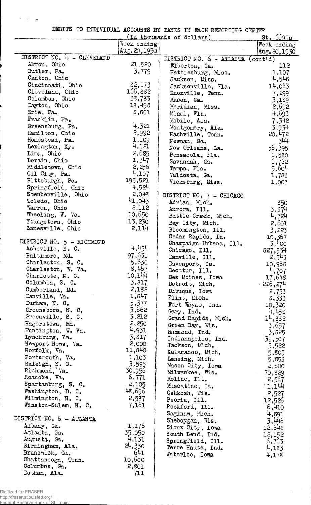DEBITS TO INDIVIDUAL ACCOUNTS BY BANKS IN EACH REPORTING CENTER

|                                   | <u>St. 6699a</u>    |                                                   |               |
|-----------------------------------|---------------------|---------------------------------------------------|---------------|
|                                   | Week ending         |                                                   | Week ending   |
|                                   | $Au_{C}$ . 20, 1930 |                                                   | Aug. 20, 1930 |
| DISTRICT NO. 4 - CLEVELAND        |                     | DISTRICT NO. $6 - \text{ATLANTA} (\text{cont-d})$ |               |
| Akron, Ohio                       | 21,520              | Elberton, Ga.                                     | 112           |
| Butler, Pa.                       | 3,779               | Hattiesburg, Miss.                                | 1,107         |
| Canton, Ohio                      |                     | Jackson, Miss.                                    | 4,548         |
| Cincinnati, Ohio                  | 82,173              | Jacksonville, Fla.                                | 14,063        |
| Cleveland, Ohio                   | 166,882             | Knoxville, Tenn.                                  | 7,299         |
| Columbus, Ohio                    | 38,783              | Macon, Ga.                                        | 3,189         |
| Dayton, Ohio                      | 18,498              | Meridian, Miss.                                   | 2,692         |
| Erie, Pa.                         | 8,801               | Miami, Fla.                                       | 4,693         |
| Franklin, Pa.                     |                     | Mobile, Ala.                                      | 7,342         |
| Greensburg, Pa.                   | 4,321               | Montgomery, Ala.                                  | 3,934         |
| Hamilton, Ohio                    | 2,992               | Nashville, Tenn.                                  | 20,472        |
| Homestead, Pa.                    | 1,109               | Newnan, Ga.                                       | 344           |
| Lexington, Ky.                    | 4,121               | New Orleans, La.                                  | 56,395        |
| Lima, Ohio                        | 2,685               | Pensacola, Fla.                                   | 1,580         |
| Lorain, Ohio                      | 1,347               | Savannah, Ga.                                     | 6,762         |
| Middletown, Ohio                  | 2,256               | Tampa, Fla.                                       |               |
| Oil City, Pa.                     | 4,107               |                                                   | 5,604         |
| Pittsburgh, Pa.                   | 195,521             | Valdosta, Ga.                                     | 1,783         |
| Springfield, Ohio                 | 4,524               | Vicksburg, Miss.                                  | 1,007         |
| Steubenville, Ohio                | 2,048               |                                                   |               |
| Toledo, Ohio                      | 41,043              | DISTRICT NO. 7 - CHICAGO                          |               |
| Warren, Ohio                      | 2,112               | Adrian, Mich.                                     | 850           |
| Wheeling, W. Va.                  | 10,650              | Aurora, Ill.                                      | 3,374         |
| Youngstown, Ohio                  | 13,230              | Battle Creek, Mich.                               | 4,724         |
| Zanesville, Ohio                  | 2,114               | Bay City, Mich.                                   | 2,601         |
|                                   |                     | Bloomington, Ill.                                 | 3,223         |
| DISTRICT NO. 5 - RICHMOND         |                     | Cedar Rapids, Ia.                                 | 10,367        |
| Asheville, N. C.                  | 4,454               | Champaign-Urbana, Ill.                            | 3,400         |
| Baltimore, Md.                    | 97,631              | Chicago, Ill.                                     | 827,934       |
| Charleston, S. C.                 | 5,630               | Danville, Ill.                                    | 2,543         |
| Charleston, W. Va.                | 8,467               | Davenport, Ia.                                    | 10,968        |
| Charlotte, N. C.                  | 10,144              | Decatur, Ill.                                     | 4,707         |
| Columbia, S. C.                   | 3,817               | Des Moines, Iowa                                  | 17,648        |
| Cumberland, Md.                   | 2,182               | Detroit, Mich.                                    | $-226,274$    |
| Danville, Va.                     | 1,847               | Dubuque, Iowa                                     | 2,753         |
| Durham, N. C.                     | 5,377               | Flint, Mich.                                      | 8,333         |
|                                   | 3,662               | Fort Wayne, Ind.                                  | 10,320        |
| Greensboro, N. C.                 | 3,212               | Gary, Ind.                                        | 4,458         |
| Greenville, S. C.                 | 2,250               | Grand Rapids, Mich.                               | 14,882        |
| Hagerstown, Md.                   | 4,931               | Green Bay, Wis.                                   | 3,657         |
| Huntington, W. Va.                | 3,817               | Hammond, Ind.                                     | 3,825         |
| Lynchburg, Va.                    | 2,000               | Indianapolis, Ind.                                | 39,507        |
| Newport News, Va.<br>Norfolk, Va. | 11,848              | Jackson, Mich.                                    | 5,522         |
| Portsmouth, Va.                   | 1,103               | Kalamazoo, Mich.                                  | 5,805         |
| Raleigh, N. C.                    | 3,595               | Lansing, Mich.                                    | 5,853         |
| Richmond, Va.                     | 30,956              | Mason City, Iowa                                  | 2,800         |
| Roanoke, Va.                      | 6,771               | Milwaukee, Wis.                                   | 70,829        |
|                                   | 2,105               | Moline, Ill.                                      | 2,567         |
| Spartanburg, S. C.                | 48,696              | Muscatine, Ia.                                    | 1,144         |
| Washington, D. C.                 |                     | Oshkosh, Wis.                                     | 2,527         |
| Wilmington, N. C.                 | 2,587               | Peoria, Ill.                                      | 12,526        |
| Winston-Salem, N. C.              | 7,161               | Rockford, Ill.                                    | 6,410         |
|                                   |                     | Saginaw, Mich.                                    | 4,891         |
| DISTRICT NO. 6 - ATLANTA          |                     | Sheboygan, Wis.                                   | 3,496         |
| Albany, Ga.                       | 1,176               | Sioux City, Iowa                                  | 12,648        |
| Atlanta, Ga.                      | 35,050              | South Bend, Ind.                                  | 12,152        |
| Augusta, Ga.                      | 4,131               | Springfield, Ill.                                 | 6,763         |
| Birmingham, Ala.                  | 24,350              | Terre Haute, Ind.                                 | 4,183         |
| Brunswick, Ga.                    | 641                 | Waterloo, Iowa                                    | 4,178         |
| Chattanooga, Tenn.                | 10,600              |                                                   |               |
| Columbus, Ga.                     | 2,801               |                                                   |               |
| Dothan, Ala.                      | 711                 |                                                   |               |

i.

 $\mathcal{A}^{\mathcal{A}}$  ,  $\mathcal{A}^{\mathcal{A}}$  $\overline{a}$